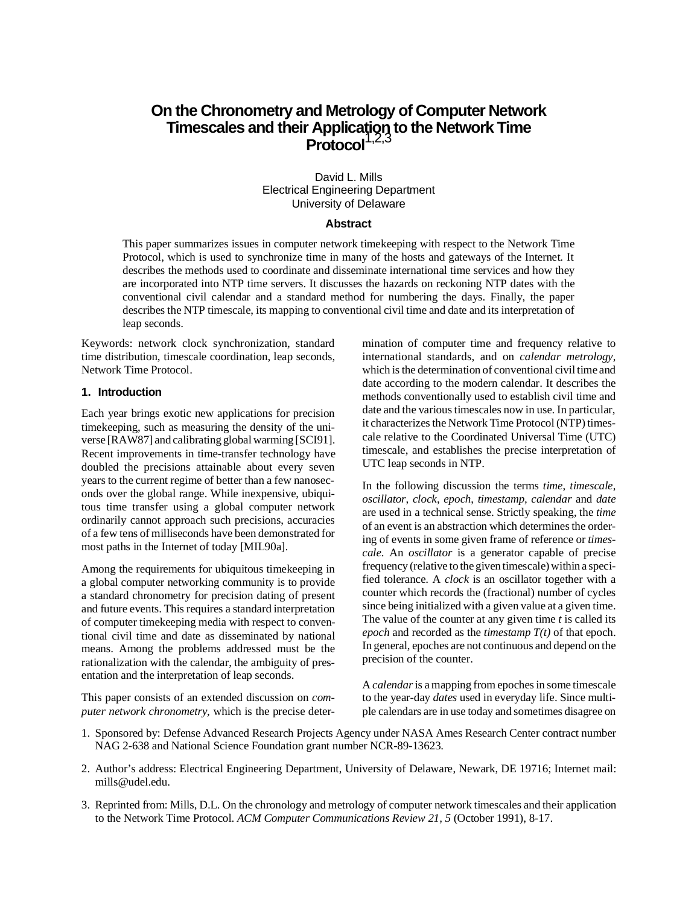# **On the Chronometry and Metrology of Computer Network Timescales and their Application to the Network Time Protocol**1,2,3

David L. Mills Electrical Engineering Department University of Delaware

## **Abstract**

This paper summarizes issues in computer network timekeeping with respect to the Network Time Protocol, which is used to synchronize time in many of the hosts and gateways of the Internet. It describes the methods used to coordinate and disseminate international time services and how they are incorporated into NTP time servers. It discusses the hazards on reckoning NTP dates with the conventional civil calendar and a standard method for numbering the days. Finally, the paper describes the NTP timescale, its mapping to conventional civil time and date and its interpretation of leap seconds.

Keywords: network clock synchronization, standard time distribution, timescale coordination, leap seconds, Network Time Protocol.

#### **1. Introduction**

Each year brings exotic new applications for precision timekeeping, such as measuring the density of the universe [RAW87] and calibrating global warming [SCI91]. Recent improvements in time-transfer technology have doubled the precisions attainable about every seven years to the current regime of better than a few nanoseconds over the global range. While inexpensive, ubiquitous time transfer using a global computer network ordinarily cannot approach such precisions, accuracies of a few tens of milliseconds have been demonstrated for most paths in the Internet of today [MIL90a].

Among the requirements for ubiquitous timekeeping in a global computer networking community is to provide a standard chronometry for precision dating of present and future events. This requires a standard interpretation of computer timekeeping media with respect to conventional civil time and date as disseminated by national means. Among the problems addressed must be the rationalization with the calendar, the ambiguity of presentation and the interpretation of leap seconds.

This paper consists of an extended discussion on *computer network chronometry*, which is the precise deter-

mination of computer time and frequency relative to international standards, and on *calendar metrology*, which is the determination of conventional civil time and date according to the modern calendar. It describes the methods conventionally used to establish civil time and date and the various timescales now in use. In particular, it characterizes the Network Time Protocol (NTP) timescale relative to the Coordinated Universal Time (UTC) timescale, and establishes the precise interpretation of UTC leap seconds in NTP.

In the following discussion the terms *time*, *timescale*, *oscillator*, *clock*, *epoch*, *timestamp, calendar* and *date* are used in a technical sense. Strictly speaking, the *time* of an event is an abstraction which determines the ordering of events in some given frame of reference or *timescale*. An *oscillator* is a generator capable of precise frequency (relative to the given timescale) within a specified tolerance. A *clock* is an oscillator together with a counter which records the (fractional) number of cycles since being initialized with a given value at a given time. The value of the counter at any given time *t* is called its *epoch* and recorded as the *timestamp T(t)* of that epoch. In general, epoches are not continuous and depend on the precision of the counter.

A *calendar* is a mapping from epoches in some timescale to the year-day *dates* used in everyday life. Since multiple calendars are in use today and sometimes disagree on

- 1. Sponsored by: Defense Advanced Research Projects Agency under NASA Ames Research Center contract number NAG 2-638 and National Science Foundation grant number NCR-89-13623.
- 2. Author's address: Electrical Engineering Department, University of Delaware, Newark, DE 19716; Internet mail: mills@udel.edu.
- 3. Reprinted from: Mills, D.L. On the chronology and metrology of computer network timescales and their application to the Network Time Protocol. *ACM Computer Communications Review 21, 5* (October 1991), 8-17.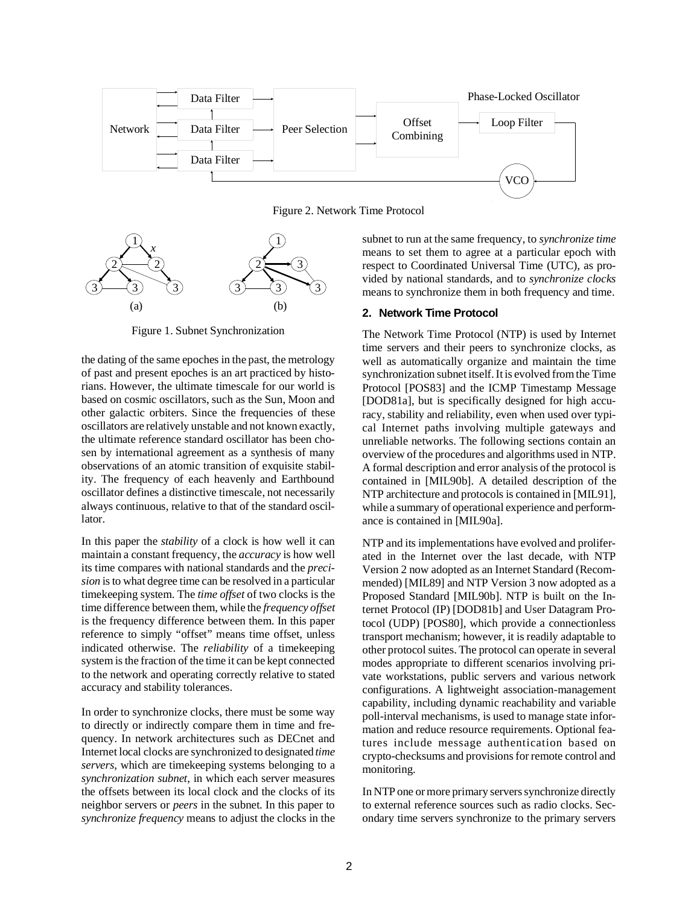

Figure 2. Network Time Protocol



Figure 1. Subnet Synchronization

the dating of the same epoches in the past, the metrology of past and present epoches is an art practiced by historians. However, the ultimate timescale for our world is based on cosmic oscillators, such as the Sun, Moon and other galactic orbiters. Since the frequencies of these oscillators are relatively unstable and not known exactly, the ultimate reference standard oscillator has been chosen by international agreement as a synthesis of many observations of an atomic transition of exquisite stability. The frequency of each heavenly and Earthbound oscillator defines a distinctive timescale, not necessarily always continuous, relative to that of the standard oscillator.

In this paper the *stability* of a clock is how well it can maintain a constant frequency, the *accuracy* is how well its time compares with national standards and the *precision* is to what degree time can be resolved in a particular timekeeping system. The *time offset* of two clocks is the time difference between them, while the *frequency offset* is the frequency difference between them. In this paper reference to simply "offset" means time offset, unless indicated otherwise. The *reliability* of a timekeeping system is the fraction of the time it can be kept connected to the network and operating correctly relative to stated accuracy and stability tolerances.

In order to synchronize clocks, there must be some way to directly or indirectly compare them in time and frequency. In network architectures such as DECnet and Internet local clocks are synchronized to designated *time servers*, which are timekeeping systems belonging to a *synchronization subnet*, in which each server measures the offsets between its local clock and the clocks of its neighbor servers or *peers* in the subnet. In this paper to *synchronize frequency* means to adjust the clocks in the subnet to run at the same frequency, to *synchronize time* means to set them to agree at a particular epoch with respect to Coordinated Universal Time (UTC), as provided by national standards, and to *synchronize clocks* means to synchronize them in both frequency and time.

## **2. Network Time Protocol**

The Network Time Protocol (NTP) is used by Internet time servers and their peers to synchronize clocks, as well as automatically organize and maintain the time synchronization subnet itself. It is evolved from the Time Protocol [POS83] and the ICMP Timestamp Message [DOD81a], but is specifically designed for high accuracy, stability and reliability, even when used over typical Internet paths involving multiple gateways and unreliable networks. The following sections contain an overview of the procedures and algorithms used in NTP. A formal description and error analysis of the protocol is contained in [MIL90b]. A detailed description of the NTP architecture and protocols is contained in [MIL91], while a summary of operational experience and performance is contained in [MIL90a].

NTP and its implementations have evolved and proliferated in the Internet over the last decade, with NTP Version 2 now adopted as an Internet Standard (Recommended) [MIL89] and NTP Version 3 now adopted as a Proposed Standard [MIL90b]. NTP is built on the Internet Protocol (IP) [DOD81b] and User Datagram Protocol (UDP) [POS80], which provide a connectionless transport mechanism; however, it is readily adaptable to other protocol suites. The protocol can operate in several modes appropriate to different scenarios involving private workstations, public servers and various network configurations. A lightweight association-management capability, including dynamic reachability and variable poll-interval mechanisms, is used to manage state information and reduce resource requirements. Optional features include message authentication based on crypto-checksums and provisions for remote control and monitoring.

In NTP one or more primary servers synchronize directly to external reference sources such as radio clocks. Secondary time servers synchronize to the primary servers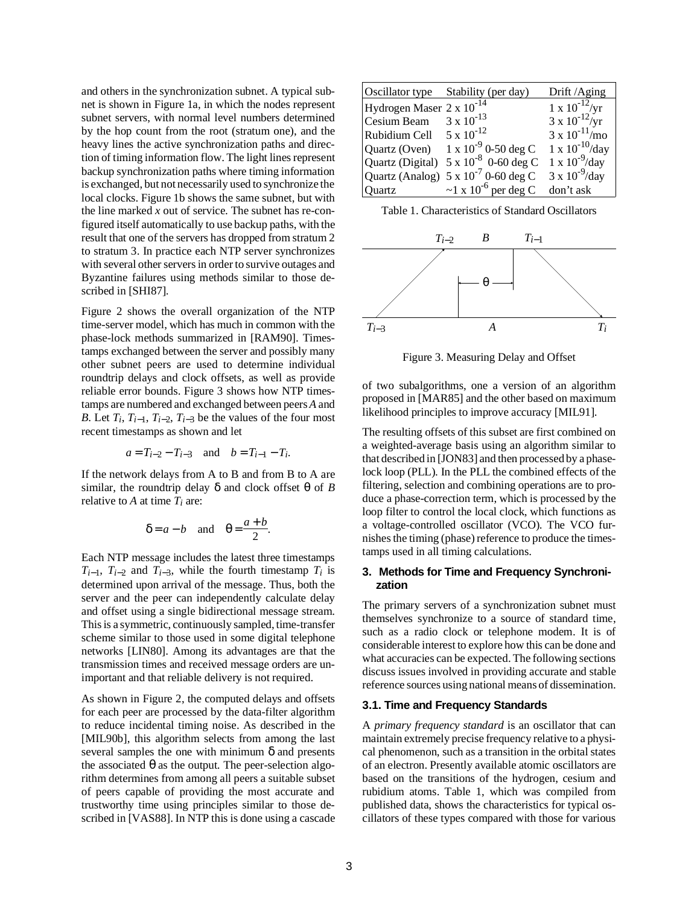and others in the synchronization subnet. A typical subnet is shown in Figure 1a, in which the nodes represent subnet servers, with normal level numbers determined by the hop count from the root (stratum one), and the heavy lines the active synchronization paths and direction of timing information flow. The light lines represent backup synchronization paths where timing information is exchanged, but not necessarily used to synchronize the local clocks. Figure 1b shows the same subnet, but with the line marked *x* out of service. The subnet has re-configured itself automatically to use backup paths, with the result that one of the servers has dropped from stratum 2 to stratum 3. In practice each NTP server synchronizes with several other servers in order to survive outages and Byzantine failures using methods similar to those described in [SHI87].

Figure 2 shows the overall organization of the NTP time-server model, which has much in common with the phase-lock methods summarized in [RAM90]. Timestamps exchanged between the server and possibly many other subnet peers are used to determine individual roundtrip delays and clock offsets, as well as provide reliable error bounds. Figure 3 shows how NTP timestamps are numbered and exchanged between peers *A* and *B*. Let  $T_i$ ,  $T_{i-1}$ ,  $T_{i-2}$ ,  $T_{i-3}$  be the values of the four most recent timestamps as shown and let

$$
a = T_{i-2} - T_{i-3}
$$
 and  $b = T_{i-1} - T_i$ .

If the network delays from A to B and from B to A are similar, the roundtrip delay  $\delta$  and clock offset  $\theta$  of *B* relative to *A* at time *Ti* are:

$$
\delta = a - b \quad \text{and} \quad \theta = \frac{a + b}{2}.
$$

Each NTP message includes the latest three timestamps  $T_{i-1}$ ,  $T_{i-2}$  and  $T_{i-3}$ , while the fourth timestamp  $T_i$  is determined upon arrival of the message. Thus, both the server and the peer can independently calculate delay and offset using a single bidirectional message stream. This is a symmetric, continuously sampled, time-transfer scheme similar to those used in some digital telephone networks [LIN80]. Among its advantages are that the transmission times and received message orders are unimportant and that reliable delivery is not required.

As shown in Figure 2, the computed delays and offsets for each peer are processed by the data-filter algorithm to reduce incidental timing noise. As described in the [MIL90b], this algorithm selects from among the last several samples the one with minimum  $\delta$  and presents the associated  $\theta$  as the output. The peer-selection algorithm determines from among all peers a suitable subset of peers capable of providing the most accurate and trustworthy time using principles similar to those described in [VAS88]. In NTP this is done using a cascade

| Oscillator type                      | Stability (per day)                            | Drift/Aging                     |
|--------------------------------------|------------------------------------------------|---------------------------------|
| Hydrogen Maser 2 x 10 <sup>-14</sup> |                                                | $1 \times 10^{-12} / \text{yr}$ |
| Cesium Beam                          | $3 \times 10^{-13}$                            | $3 \times 10^{-12} / yr$        |
| Rubidium Cell                        | $5 \times 10^{-12}$                            | $3 \times 10^{-11}$ /mo         |
| Quartz (Oven)                        | $1 \times 10^{-9}$ 0-50 deg C                  | $1 \times 10^{-10}$ /day        |
|                                      | Quartz (Digital) $5 \times 10^{-8}$ 0-60 deg C | $1 \times 10^{-9}$ /day         |
|                                      | Quartz (Analog) $5 \times 10^{-7}$ 0-60 deg C  | $3 \times 10^{-9}$ /day         |
| Quartz                               | $\sim$ 1 x 10 <sup>-6</sup> per deg C          | don't ask                       |

Table 1. Characteristics of Standard Oscillators



Figure 3. Measuring Delay and Offset

of two subalgorithms, one a version of an algorithm proposed in [MAR85] and the other based on maximum likelihood principles to improve accuracy [MIL91].

The resulting offsets of this subset are first combined on a weighted-average basis using an algorithm similar to that described in [JON83] and then processed by a phaselock loop (PLL). In the PLL the combined effects of the filtering, selection and combining operations are to produce a phase-correction term, which is processed by the loop filter to control the local clock, which functions as a voltage-controlled oscillator (VCO). The VCO furnishes the timing (phase) reference to produce the timestamps used in all timing calculations.

# **3. Methods for Time and Frequency Synchronization**

The primary servers of a synchronization subnet must themselves synchronize to a source of standard time, such as a radio clock or telephone modem. It is of considerable interest to explore how this can be done and what accuracies can be expected. The following sections discuss issues involved in providing accurate and stable reference sources using national means of dissemination.

### **3.1. Time and Frequency Standards**

A *primary frequency standard* is an oscillator that can maintain extremely precise frequency relative to a physical phenomenon, such as a transition in the orbital states of an electron. Presently available atomic oscillators are based on the transitions of the hydrogen, cesium and rubidium atoms. Table 1, which was compiled from published data, shows the characteristics for typical oscillators of these types compared with those for various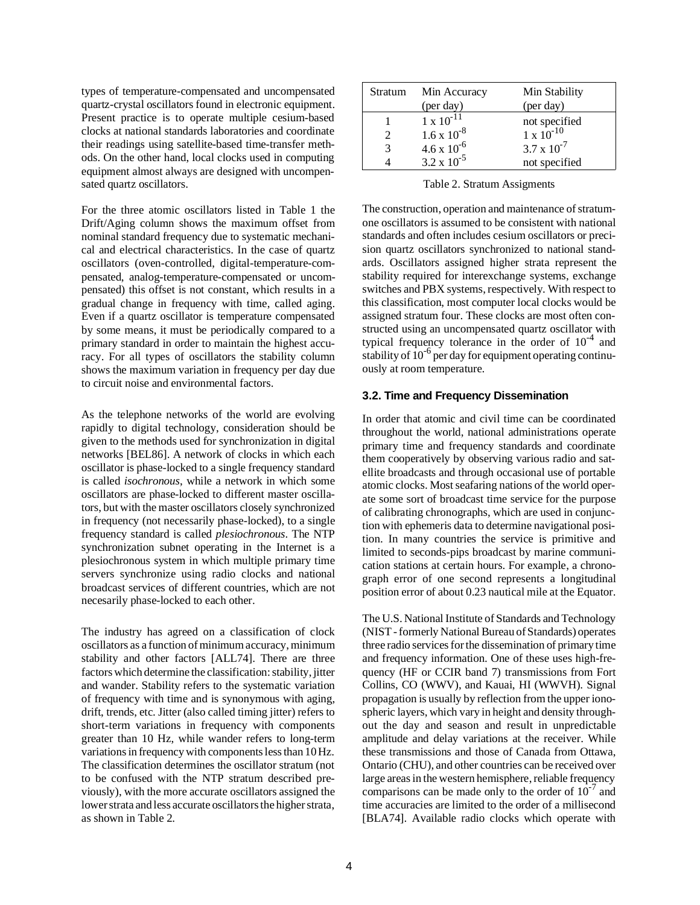types of temperature-compensated and uncompensated quartz-crystal oscillators found in electronic equipment. Present practice is to operate multiple cesium-based clocks at national standards laboratories and coordinate their readings using satellite-based time-transfer methods. On the other hand, local clocks used in computing equipment almost always are designed with uncompensated quartz oscillators.

For the three atomic oscillators listed in Table 1 the Drift/Aging column shows the maximum offset from nominal standard frequency due to systematic mechanical and electrical characteristics. In the case of quartz oscillators (oven-controlled, digital-temperature-compensated, analog-temperature-compensated or uncompensated) this offset is not constant, which results in a gradual change in frequency with time, called aging. Even if a quartz oscillator is temperature compensated by some means, it must be periodically compared to a primary standard in order to maintain the highest accuracy. For all types of oscillators the stability column shows the maximum variation in frequency per day due to circuit noise and environmental factors.

As the telephone networks of the world are evolving rapidly to digital technology, consideration should be given to the methods used for synchronization in digital networks [BEL86]. A network of clocks in which each oscillator is phase-locked to a single frequency standard is called *isochronous*, while a network in which some oscillators are phase-locked to different master oscillators, but with the master oscillators closely synchronized in frequency (not necessarily phase-locked), to a single frequency standard is called *plesiochronous*. The NTP synchronization subnet operating in the Internet is a plesiochronous system in which multiple primary time servers synchronize using radio clocks and national broadcast services of different countries, which are not necesarily phase-locked to each other.

The industry has agreed on a classification of clock oscillators as a function of minimum accuracy, minimum stability and other factors [ALL74]. There are three factors which determine the classification: stability, jitter and wander. Stability refers to the systematic variation of frequency with time and is synonymous with aging, drift, trends, etc. Jitter (also called timing jitter) refers to short-term variations in frequency with components greater than 10 Hz, while wander refers to long-term variations in frequency with components less than 10 Hz. The classification determines the oscillator stratum (not to be confused with the NTP stratum described previously), with the more accurate oscillators assigned the lower strata and less accurate oscillators the higher strata, as shown in Table 2.

| Stratum | Min Accuracy         | Min Stability                        |
|---------|----------------------|--------------------------------------|
|         | (per day)            | (per day)                            |
|         | $1 \times 10^{-11}$  |                                      |
|         | $1.6 \times 10^{-8}$ | not specified<br>$1 \times 10^{-10}$ |
| 3       | $4.6 \times 10^{-6}$ | $3.7 \times 10^{-7}$                 |
|         | $3.2 \times 10^{-5}$ | not specified                        |

Table 2. Stratum Assigments

The construction, operation and maintenance of stratumone oscillators is assumed to be consistent with national standards and often includes cesium oscillators or precision quartz oscillators synchronized to national standards. Oscillators assigned higher strata represent the stability required for interexchange systems, exchange switches and PBX systems, respectively. With respect to this classification, most computer local clocks would be assigned stratum four. These clocks are most often constructed using an uncompensated quartz oscillator with typical frequency tolerance in the order of  $10^{-4}$  and stability of  $10^{-6}$  per day for equipment operating continuously at room temperature.

## **3.2. Time and Frequency Dissemination**

In order that atomic and civil time can be coordinated throughout the world, national administrations operate primary time and frequency standards and coordinate them cooperatively by observing various radio and satellite broadcasts and through occasional use of portable atomic clocks. Most seafaring nations of the world operate some sort of broadcast time service for the purpose of calibrating chronographs, which are used in conjunction with ephemeris data to determine navigational position. In many countries the service is primitive and limited to seconds-pips broadcast by marine communication stations at certain hours. For example, a chronograph error of one second represents a longitudinal position error of about 0.23 nautical mile at the Equator.

The U.S. National Institute of Standards and Technology (NIST - formerly National Bureau of Standards) operates three radio services for the dissemination of primary time and frequency information. One of these uses high-frequency (HF or CCIR band 7) transmissions from Fort Collins, CO (WWV), and Kauai, HI (WWVH). Signal propagation is usually by reflection from the upper ionospheric layers, which vary in height and density throughout the day and season and result in unpredictable amplitude and delay variations at the receiver. While these transmissions and those of Canada from Ottawa, Ontario (CHU), and other countries can be received over large areas in the western hemisphere, reliable frequency comparisons can be made only to the order of  $10^{-7}$  and time accuracies are limited to the order of a millisecond [BLA74]. Available radio clocks which operate with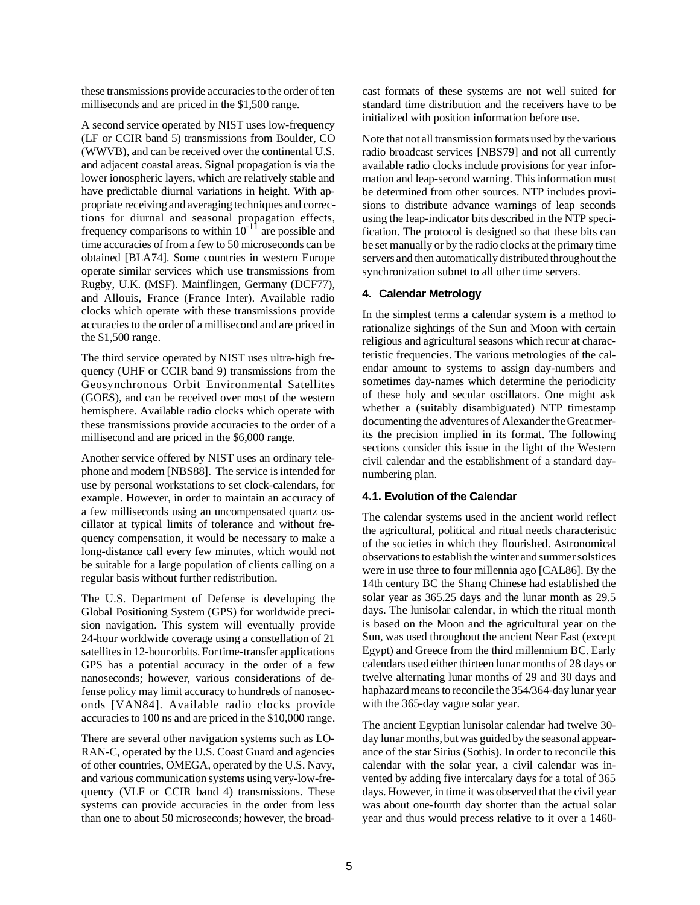these transmissions provide accuracies to the order of ten milliseconds and are priced in the \$1,500 range.

A second service operated by NIST uses low-frequency (LF or CCIR band 5) transmissions from Boulder, CO (WWVB), and can be received over the continental U.S. and adjacent coastal areas. Signal propagation is via the lower ionospheric layers, which are relatively stable and have predictable diurnal variations in height. With appropriate receiving and averaging techniques and corrections for diurnal and seasonal propagation effects, frequency comparisons to within  $10^{-11}$  are possible and time accuracies of from a few to 50 microseconds can be obtained [BLA74]. Some countries in western Europe operate similar services which use transmissions from Rugby, U.K. (MSF). Mainflingen, Germany (DCF77), and Allouis, France (France Inter). Available radio clocks which operate with these transmissions provide accuracies to the order of a millisecond and are priced in the \$1,500 range.

The third service operated by NIST uses ultra-high frequency (UHF or CCIR band 9) transmissions from the Geosynchronous Orbit Environmental Satellites (GOES), and can be received over most of the western hemisphere. Available radio clocks which operate with these transmissions provide accuracies to the order of a millisecond and are priced in the \$6,000 range.

Another service offered by NIST uses an ordinary telephone and modem [NBS88]. The service is intended for use by personal workstations to set clock-calendars, for example. However, in order to maintain an accuracy of a few milliseconds using an uncompensated quartz oscillator at typical limits of tolerance and without frequency compensation, it would be necessary to make a long-distance call every few minutes, which would not be suitable for a large population of clients calling on a regular basis without further redistribution.

The U.S. Department of Defense is developing the Global Positioning System (GPS) for worldwide precision navigation. This system will eventually provide 24-hour worldwide coverage using a constellation of 21 satellites in 12-hour orbits. For time-transfer applications GPS has a potential accuracy in the order of a few nanoseconds; however, various considerations of defense policy may limit accuracy to hundreds of nanoseconds [VAN84]. Available radio clocks provide accuracies to 100 ns and are priced in the \$10,000 range.

There are several other navigation systems such as LO-RAN-C, operated by the U.S. Coast Guard and agencies of other countries, OMEGA, operated by the U.S. Navy, and various communication systems using very-low-frequency (VLF or CCIR band 4) transmissions. These systems can provide accuracies in the order from less than one to about 50 microseconds; however, the broadcast formats of these systems are not well suited for standard time distribution and the receivers have to be initialized with position information before use.

Note that not all transmission formats used by the various radio broadcast services [NBS79] and not all currently available radio clocks include provisions for year information and leap-second warning. This information must be determined from other sources. NTP includes provisions to distribute advance warnings of leap seconds using the leap-indicator bits described in the NTP specification. The protocol is designed so that these bits can be set manually or by the radio clocks at the primary time servers and then automatically distributed throughout the synchronization subnet to all other time servers.

### **4. Calendar Metrology**

In the simplest terms a calendar system is a method to rationalize sightings of the Sun and Moon with certain religious and agricultural seasons which recur at characteristic frequencies. The various metrologies of the calendar amount to systems to assign day-numbers and sometimes day-names which determine the periodicity of these holy and secular oscillators. One might ask whether a (suitably disambiguated) NTP timestamp documenting the adventures of Alexander the Great merits the precision implied in its format. The following sections consider this issue in the light of the Western civil calendar and the establishment of a standard daynumbering plan.

## **4.1. Evolution of the Calendar**

The calendar systems used in the ancient world reflect the agricultural, political and ritual needs characteristic of the societies in which they flourished. Astronomical observations to establish the winter and summer solstices were in use three to four millennia ago [CAL86]. By the 14th century BC the Shang Chinese had established the solar year as 365.25 days and the lunar month as 29.5 days. The lunisolar calendar, in which the ritual month is based on the Moon and the agricultural year on the Sun, was used throughout the ancient Near East (except Egypt) and Greece from the third millennium BC. Early calendars used either thirteen lunar months of 28 days or twelve alternating lunar months of 29 and 30 days and haphazard means to reconcile the 354/364-day lunar year with the 365-day vague solar year.

The ancient Egyptian lunisolar calendar had twelve 30 day lunar months, but was guided by the seasonal appearance of the star Sirius (Sothis). In order to reconcile this calendar with the solar year, a civil calendar was invented by adding five intercalary days for a total of 365 days. However, in time it was observed that the civil year was about one-fourth day shorter than the actual solar year and thus would precess relative to it over a 1460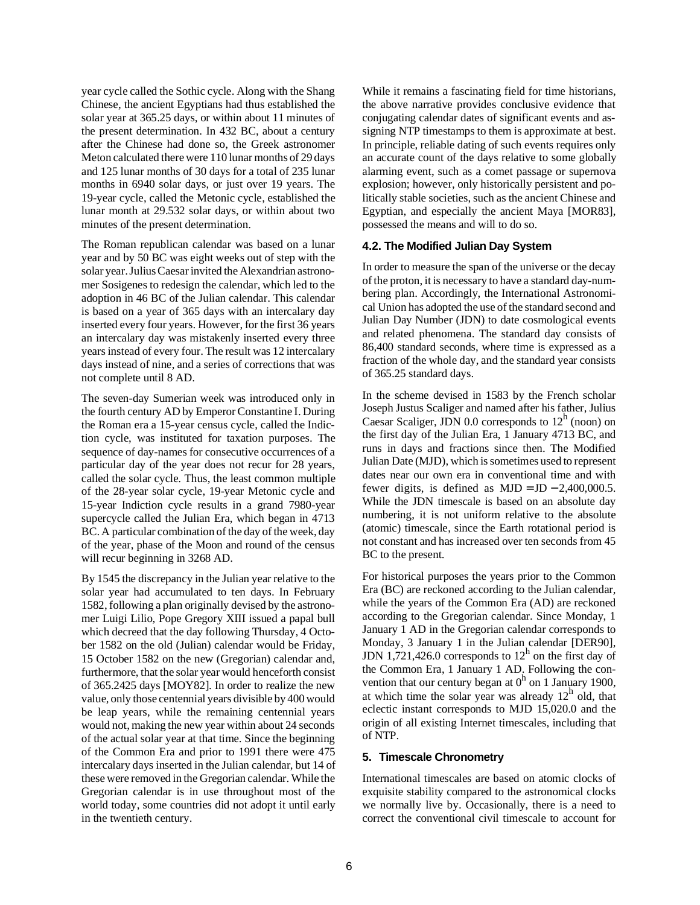year cycle called the Sothic cycle. Along with the Shang Chinese, the ancient Egyptians had thus established the solar year at 365.25 days, or within about 11 minutes of the present determination. In 432 BC, about a century after the Chinese had done so, the Greek astronomer Meton calculated there were 110 lunar months of 29 days and 125 lunar months of 30 days for a total of 235 lunar months in 6940 solar days, or just over 19 years. The 19-year cycle, called the Metonic cycle, established the lunar month at 29.532 solar days, or within about two minutes of the present determination.

The Roman republican calendar was based on a lunar year and by 50 BC was eight weeks out of step with the solar year. Julius Caesar invited the Alexandrian astronomer Sosigenes to redesign the calendar, which led to the adoption in 46 BC of the Julian calendar. This calendar is based on a year of 365 days with an intercalary day inserted every four years. However, for the first 36 years an intercalary day was mistakenly inserted every three years instead of every four. The result was 12 intercalary days instead of nine, and a series of corrections that was not complete until 8 AD.

The seven-day Sumerian week was introduced only in the fourth century AD by Emperor Constantine I. During the Roman era a 15-year census cycle, called the Indiction cycle, was instituted for taxation purposes. The sequence of day-names for consecutive occurrences of a particular day of the year does not recur for 28 years, called the solar cycle. Thus, the least common multiple of the 28-year solar cycle, 19-year Metonic cycle and 15-year Indiction cycle results in a grand 7980-year supercycle called the Julian Era, which began in 4713 BC. A particular combination of the day of the week, day of the year, phase of the Moon and round of the census will recur beginning in 3268 AD.

By 1545 the discrepancy in the Julian year relative to the solar year had accumulated to ten days. In February 1582, following a plan originally devised by the astronomer Luigi Lilio, Pope Gregory XIII issued a papal bull which decreed that the day following Thursday, 4 October 1582 on the old (Julian) calendar would be Friday, 15 October 1582 on the new (Gregorian) calendar and, furthermore, that the solar year would henceforth consist of 365.2425 days [MOY82]. In order to realize the new value, only those centennial years divisible by 400 would be leap years, while the remaining centennial years would not, making the new year within about 24 seconds of the actual solar year at that time. Since the beginning of the Common Era and prior to 1991 there were 475 intercalary days inserted in the Julian calendar, but 14 of these were removed in the Gregorian calendar. While the Gregorian calendar is in use throughout most of the world today, some countries did not adopt it until early in the twentieth century.

While it remains a fascinating field for time historians, the above narrative provides conclusive evidence that conjugating calendar dates of significant events and assigning NTP timestamps to them is approximate at best. In principle, reliable dating of such events requires only an accurate count of the days relative to some globally alarming event, such as a comet passage or supernova explosion; however, only historically persistent and politically stable societies, such as the ancient Chinese and Egyptian, and especially the ancient Maya [MOR83], possessed the means and will to do so.

### **4.2. The Modified Julian Day System**

In order to measure the span of the universe or the decay of the proton, it is necessary to have a standard day-numbering plan. Accordingly, the International Astronomical Union has adopted the use of the standard second and Julian Day Number (JDN) to date cosmological events and related phenomena. The standard day consists of 86,400 standard seconds, where time is expressed as a fraction of the whole day, and the standard year consists of 365.25 standard days.

In the scheme devised in 1583 by the French scholar Joseph Justus Scaliger and named after his father, Julius Caesar Scaliger, JDN 0.0 corresponds to  $12<sup>h</sup>$  (noon) on the first day of the Julian Era, 1 January 4713 BC, and runs in days and fractions since then. The Modified Julian Date (MJD), which is sometimes used to represent dates near our own era in conventional time and with fewer digits, is defined as  $MJD = JD - 2,400,000.5$ . While the JDN timescale is based on an absolute day numbering, it is not uniform relative to the absolute (atomic) timescale, since the Earth rotational period is not constant and has increased over ten seconds from 45 BC to the present.

For historical purposes the years prior to the Common Era (BC) are reckoned according to the Julian calendar, while the years of the Common Era (AD) are reckoned according to the Gregorian calendar. Since Monday, 1 January 1 AD in the Gregorian calendar corresponds to Monday, 3 January 1 in the Julian calendar [DER90], JDN 1,721,426.0 corresponds to  $12<sup>h</sup>$  on the first day of the Common Era, 1 January 1 AD. Following the convention that our century began at  $0<sup>h</sup>$  on 1 January 1900, at which time the solar year was already  $12<sup>h</sup>$  old, that eclectic instant corresponds to MJD 15,020.0 and the origin of all existing Internet timescales, including that of NTP.

### **5. Timescale Chronometry**

International timescales are based on atomic clocks of exquisite stability compared to the astronomical clocks we normally live by. Occasionally, there is a need to correct the conventional civil timescale to account for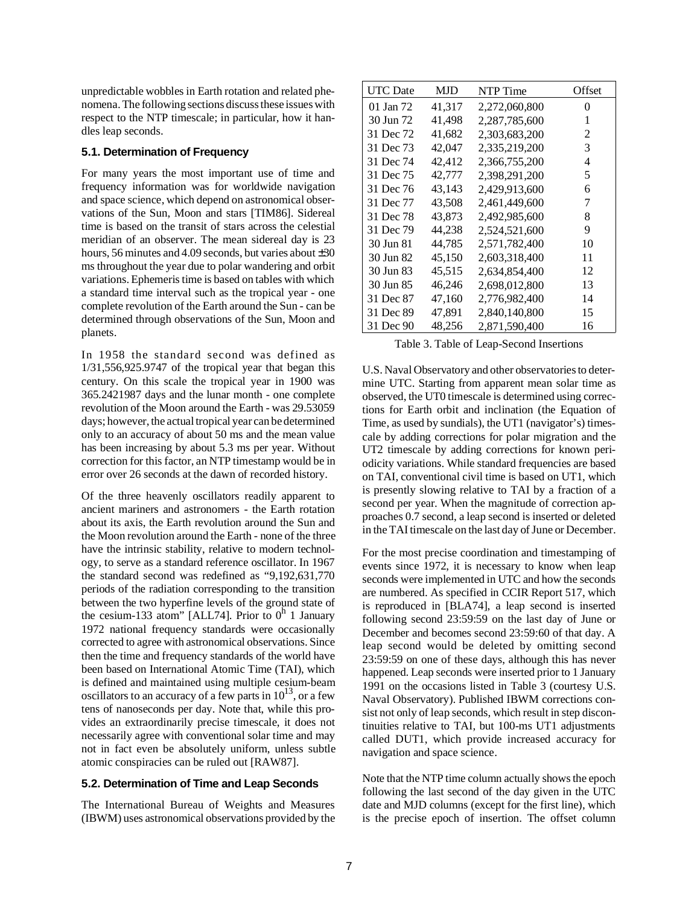unpredictable wobbles in Earth rotation and related phenomena. The following sections discuss these issues with respect to the NTP timescale; in particular, how it handles leap seconds.

## **5.1. Determination of Frequency**

For many years the most important use of time and frequency information was for worldwide navigation and space science, which depend on astronomical observations of the Sun, Moon and stars [TIM86]. Sidereal time is based on the transit of stars across the celestial meridian of an observer. The mean sidereal day is 23 hours, 56 minutes and 4.09 seconds, but varies about  $\pm 30$ ms throughout the year due to polar wandering and orbit variations. Ephemeris time is based on tables with which a standard time interval such as the tropical year - one complete revolution of the Earth around the Sun - can be determined through observations of the Sun, Moon and planets.

In 1958 the standard second was defined as 1/31,556,925.9747 of the tropical year that began this century. On this scale the tropical year in 1900 was 365.2421987 days and the lunar month - one complete revolution of the Moon around the Earth - was 29.53059 days; however, the actual tropical year can be determined only to an accuracy of about 50 ms and the mean value has been increasing by about 5.3 ms per year. Without correction for this factor, an NTP timestamp would be in error over 26 seconds at the dawn of recorded history.

Of the three heavenly oscillators readily apparent to ancient mariners and astronomers - the Earth rotation about its axis, the Earth revolution around the Sun and the Moon revolution around the Earth - none of the three have the intrinsic stability, relative to modern technology, to serve as a standard reference oscillator. In 1967 the standard second was redefined as "9,192,631,770 periods of the radiation corresponding to the transition between the two hyperfine levels of the ground state of the cesium-133 atom" [ALL74]. Prior to  $0^h$  1 January 1972 national frequency standards were occasionally corrected to agree with astronomical observations. Since then the time and frequency standards of the world have been based on International Atomic Time (TAI), which is defined and maintained using multiple cesium-beam oscillators to an accuracy of a few parts in  $10^{13}$ , or a few tens of nanoseconds per day. Note that, while this provides an extraordinarily precise timescale, it does not necessarily agree with conventional solar time and may not in fact even be absolutely uniform, unless subtle atomic conspiracies can be ruled out [RAW87].

### **5.2. Determination of Time and Leap Seconds**

The International Bureau of Weights and Measures (IBWM) uses astronomical observations provided by the

| UTC Date  | MJD    | NTP Time      | Offset |
|-----------|--------|---------------|--------|
| 01 Jan 72 | 41,317 | 2,272,060,800 | 0      |
| 30 Jun 72 | 41,498 | 2,287,785,600 | 1      |
| 31 Dec 72 | 41,682 | 2,303,683,200 | 2      |
| 31 Dec 73 | 42,047 | 2,335,219,200 | 3      |
| 31 Dec 74 | 42,412 | 2,366,755,200 | 4      |
| 31 Dec 75 | 42,777 | 2,398,291,200 | 5      |
| 31 Dec 76 | 43,143 | 2,429,913,600 | 6      |
| 31 Dec 77 | 43,508 | 2,461,449,600 | 7      |
| 31 Dec 78 | 43,873 | 2,492,985,600 | 8      |
| 31 Dec 79 | 44,238 | 2,524,521,600 | 9      |
| 30 Jun 81 | 44,785 | 2,571,782,400 | 10     |
| 30 Jun 82 | 45,150 | 2,603,318,400 | 11     |
| 30 Jun 83 | 45,515 | 2,634,854,400 | 12     |
| 30 Jun 85 | 46,246 | 2,698,012,800 | 13     |
| 31 Dec 87 | 47,160 | 2,776,982,400 | 14     |
| 31 Dec 89 | 47,891 | 2,840,140,800 | 15     |
| 31 Dec 90 | 48,256 | 2,871,590,400 | 16     |

Table 3. Table of Leap-Second Insertions

U.S. Naval Observatory and other observatories to determine UTC. Starting from apparent mean solar time as observed, the UT0 timescale is determined using corrections for Earth orbit and inclination (the Equation of Time, as used by sundials), the UT1 (navigator's) timescale by adding corrections for polar migration and the UT2 timescale by adding corrections for known periodicity variations. While standard frequencies are based on TAI, conventional civil time is based on UT1, which is presently slowing relative to TAI by a fraction of a second per year. When the magnitude of correction approaches 0.7 second, a leap second is inserted or deleted in the TAI timescale on the last day of June or December.

For the most precise coordination and timestamping of events since 1972, it is necessary to know when leap seconds were implemented in UTC and how the seconds are numbered. As specified in CCIR Report 517, which is reproduced in [BLA74], a leap second is inserted following second 23:59:59 on the last day of June or December and becomes second 23:59:60 of that day. A leap second would be deleted by omitting second 23:59:59 on one of these days, although this has never happened. Leap seconds were inserted prior to 1 January 1991 on the occasions listed in Table 3 (courtesy U.S. Naval Observatory). Published IBWM corrections consist not only of leap seconds, which result in step discontinuities relative to TAI, but 100-ms UT1 adjustments called DUT1, which provide increased accuracy for navigation and space science.

Note that the NTP time column actually shows the epoch following the last second of the day given in the UTC date and MJD columns (except for the first line), which is the precise epoch of insertion. The offset column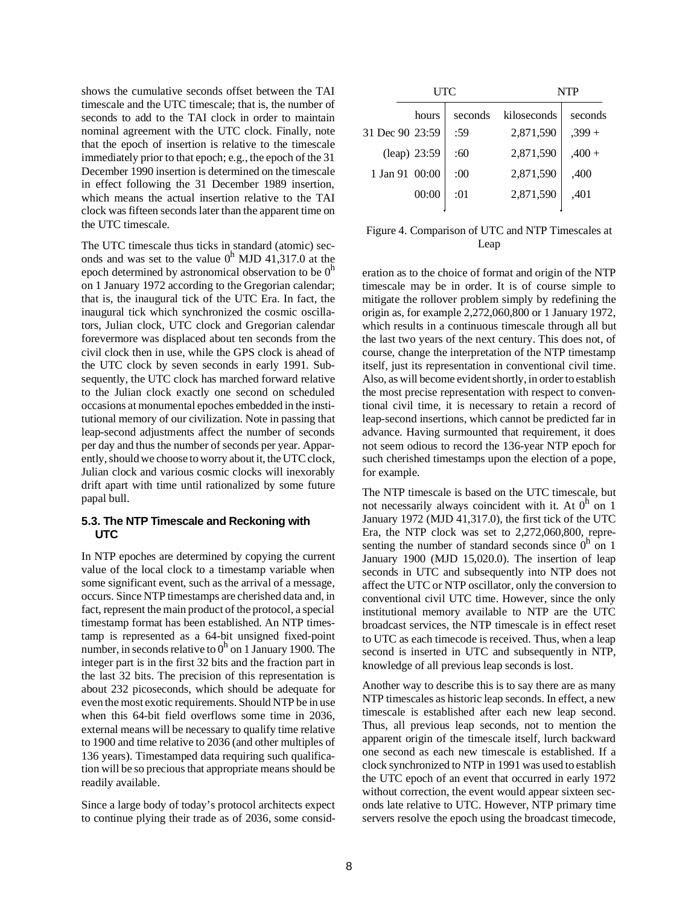shows the cumulative seconds offset between the TAI timescale and the UTC timescale; that is, the number of seconds to add to the TAI clock in order to maintain nominal agreement with the UTC clock. Finally, note that the epoch of insertion is relative to the timescale immediately prior to that epoch; e.g., the epoch of the 31 December 1990 insertion is determined on the timescale in effect following the 31 December 1989 insertion, which means the actual insertion relative to the TAI clock was fifteen seconds later than the apparent time on the UTC timescale.

The UTC timescale thus ticks in standard (atomic) seconds and was set to the value  $0^h$  MJD 41,317.0 at the epoch determined by astronomical observation to be  $0<sup>h</sup>$ on 1 January 1972 according to the Gregorian calendar; that is, the inaugural tick of the UTC Era. In fact, the inaugural tick which synchronized the cosmic oscillators, Julian clock, UTC clock and Gregorian calendar forevermore was displaced about ten seconds from the civil clock then in use, while the GPS clock is ahead of the UTC clock by seven seconds in early 1991. Subsequently, the UTC clock has marched forward relative to the Julian clock exactly one second on scheduled occasions at monumental epoches embedded in the institutional memory of our civilization. Note in passing that leap-second adjustments affect the number of seconds per day and thus the number of seconds per year. Apparently, should we choose to worry about it, the UTC clock, Julian clock and various cosmic clocks will inexorably drift apart with time until rationalized by some future papal bull.

# **5.3. The NTP Timescale and Reckoning with UTC**

In NTP epoches are determined by copying the current value of the local clock to a timestamp variable when some significant event, such as the arrival of a message, occurs. Since NTP timestamps are cherished data and, in fact, represent the main product of the protocol, a special timestamp format has been established. An NTP timestamp is represented as a 64-bit unsigned fixed-point number, in seconds relative to  $0<sup>h</sup>$  on 1 January 1900. The integer part is in the first 32 bits and the fraction part in the last 32 bits. The precision of this representation is about 232 picoseconds, which should be adequate for even the most exotic requirements. Should NTP be in use when this 64-bit field overflows some time in 2036, external means will be necessary to qualify time relative to 1900 and time relative to 2036 (and other multiples of 136 years). Timestamped data requiring such qualification will be so precious that appropriate means should be readily available.

Since a large body of today's protocol architects expect to continue plying their trade as of 2036, some consid-

| UTC             |         |             | <b>NTP</b> |  |
|-----------------|---------|-------------|------------|--|
| hours           | seconds | kiloseconds | seconds    |  |
| 31 Dec 90 23:59 | :59     | 2,871,590   | $,399+$    |  |
| (leap) 23:59    | :60     | 2,871,590   | $,400+$    |  |
| 1 Jan 91 00:00  | :00     | 2,871,590   | ,400       |  |
| 00:00           | :01     | 2,871,590   | ,401       |  |
|                 |         |             |            |  |

# Figure 4. Comparison of UTC and NTP Timescales at Leap

eration as to the choice of format and origin of the NTP timescale may be in order. It is of course simple to mitigate the rollover problem simply by redefining the origin as, for example 2,272,060,800 or 1 January 1972, which results in a continuous timescale through all but the last two years of the next century. This does not, of course, change the interpretation of the NTP timestamp itself, just its representation in conventional civil time. Also, as will become evident shortly, in order to establish the most precise representation with respect to conventional civil time, it is necessary to retain a record of leap-second insertions, which cannot be predicted far in advance. Having surmounted that requirement, it does not seem odious to record the 136-year NTP epoch for such cherished timestamps upon the election of a pope, for example.

The NTP timescale is based on the UTC timescale, but not necessarily always coincident with it. At  $0^h$  on 1 January 1972 (MJD 41,317.0), the first tick of the UTC Era, the NTP clock was set to 2,272,060,800, representing the number of standard seconds since  $0<sup>h</sup>$  on 1 January 1900 (MJD 15,020.0). The insertion of leap seconds in UTC and subsequently into NTP does not affect the UTC or NTP oscillator, only the conversion to conventional civil UTC time. However, since the only institutional memory available to NTP are the UTC broadcast services, the NTP timescale is in effect reset to UTC as each timecode is received. Thus, when a leap second is inserted in UTC and subsequently in NTP, knowledge of all previous leap seconds is lost.

Another way to describe this is to say there are as many NTP timescales as historic leap seconds. In effect, a new timescale is established after each new leap second. Thus, all previous leap seconds, not to mention the apparent origin of the timescale itself, lurch backward one second as each new timescale is established. If a clock synchronized to NTP in 1991 was used to establish the UTC epoch of an event that occurred in early 1972 without correction, the event would appear sixteen seconds late relative to UTC. However, NTP primary time servers resolve the epoch using the broadcast timecode,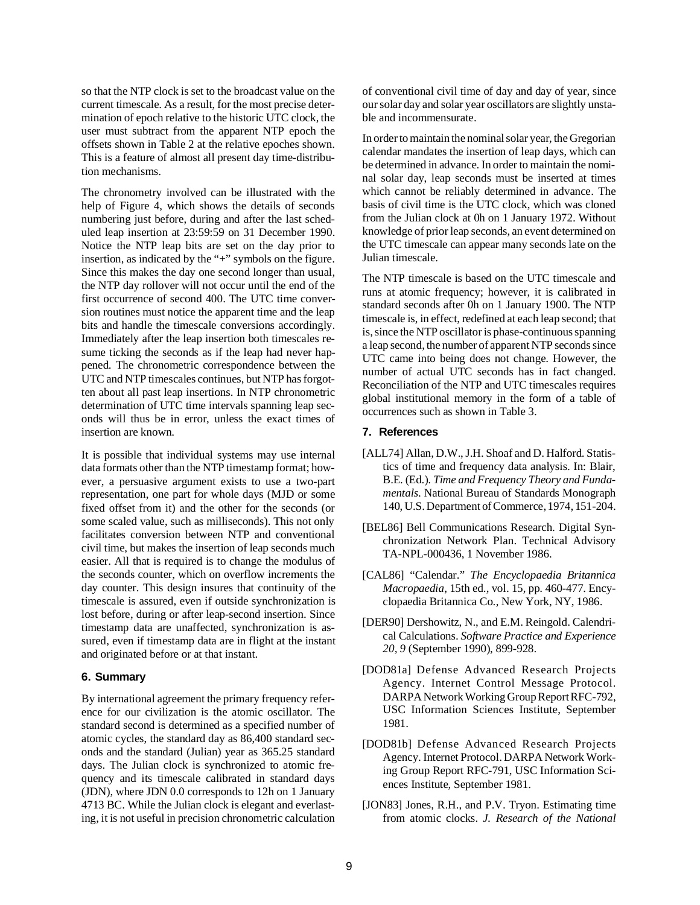so that the NTP clock is set to the broadcast value on the current timescale. As a result, for the most precise determination of epoch relative to the historic UTC clock, the user must subtract from the apparent NTP epoch the offsets shown in Table 2 at the relative epoches shown. This is a feature of almost all present day time-distribution mechanisms.

The chronometry involved can be illustrated with the help of Figure 4, which shows the details of seconds numbering just before, during and after the last scheduled leap insertion at 23:59:59 on 31 December 1990. Notice the NTP leap bits are set on the day prior to insertion, as indicated by the "+" symbols on the figure. Since this makes the day one second longer than usual, the NTP day rollover will not occur until the end of the first occurrence of second 400. The UTC time conversion routines must notice the apparent time and the leap bits and handle the timescale conversions accordingly. Immediately after the leap insertion both timescales resume ticking the seconds as if the leap had never happened. The chronometric correspondence between the UTC and NTP timescales continues, but NTP has forgotten about all past leap insertions. In NTP chronometric determination of UTC time intervals spanning leap seconds will thus be in error, unless the exact times of insertion are known.

It is possible that individual systems may use internal data formats other than the NTP timestamp format; however, a persuasive argument exists to use a two-part representation, one part for whole days (MJD or some fixed offset from it) and the other for the seconds (or some scaled value, such as milliseconds). This not only facilitates conversion between NTP and conventional civil time, but makes the insertion of leap seconds much easier. All that is required is to change the modulus of the seconds counter, which on overflow increments the day counter. This design insures that continuity of the timescale is assured, even if outside synchronization is lost before, during or after leap-second insertion. Since timestamp data are unaffected, synchronization is assured, even if timestamp data are in flight at the instant and originated before or at that instant.

#### **6. Summary**

By international agreement the primary frequency reference for our civilization is the atomic oscillator. The standard second is determined as a specified number of atomic cycles, the standard day as 86,400 standard seconds and the standard (Julian) year as 365.25 standard days. The Julian clock is synchronized to atomic frequency and its timescale calibrated in standard days (JDN), where JDN 0.0 corresponds to 12h on 1 January 4713 BC. While the Julian clock is elegant and everlasting, it is not useful in precision chronometric calculation of conventional civil time of day and day of year, since our solar day and solar year oscillators are slightly unstable and incommensurate.

In order to maintain the nominal solar year, the Gregorian calendar mandates the insertion of leap days, which can be determined in advance. In order to maintain the nominal solar day, leap seconds must be inserted at times which cannot be reliably determined in advance. The basis of civil time is the UTC clock, which was cloned from the Julian clock at 0h on 1 January 1972. Without knowledge of prior leap seconds, an event determined on the UTC timescale can appear many seconds late on the Julian timescale.

The NTP timescale is based on the UTC timescale and runs at atomic frequency; however, it is calibrated in standard seconds after 0h on 1 January 1900. The NTP timescale is, in effect, redefined at each leap second; that is, since the NTP oscillator is phase-continuous spanning a leap second, the number of apparent NTP seconds since UTC came into being does not change. However, the number of actual UTC seconds has in fact changed. Reconciliation of the NTP and UTC timescales requires global institutional memory in the form of a table of occurrences such as shown in Table 3.

#### **7. References**

- [ALL74] Allan, D.W., J.H. Shoaf and D. Halford. Statistics of time and frequency data analysis. In: Blair, B.E. (Ed.). *Time and Frequency Theory and Fundamentals*. National Bureau of Standards Monograph 140, U.S. Department of Commerce, 1974, 151-204.
- [BEL86] Bell Communications Research. Digital Synchronization Network Plan. Technical Advisory TA-NPL-000436, 1 November 1986.
- [CAL86] "Calendar." *The Encyclopaedia Britannica Macropaedia*, 15th ed., vol. 15, pp. 460-477. Encyclopaedia Britannica Co., New York, NY, 1986.
- [DER90] Dershowitz, N., and E.M. Reingold. Calendrical Calculations. *Software Practice and Experience 20, 9* (September 1990), 899-928.
- [DOD81a] Defense Advanced Research Projects Agency. Internet Control Message Protocol. DARPA Network Working Group Report RFC-792, USC Information Sciences Institute, September 1981.
- [DOD81b] Defense Advanced Research Projects Agency. Internet Protocol. DARPA Network Working Group Report RFC-791, USC Information Sciences Institute, September 1981.
- [JON83] Jones, R.H., and P.V. Tryon. Estimating time from atomic clocks. *J. Research of the National*